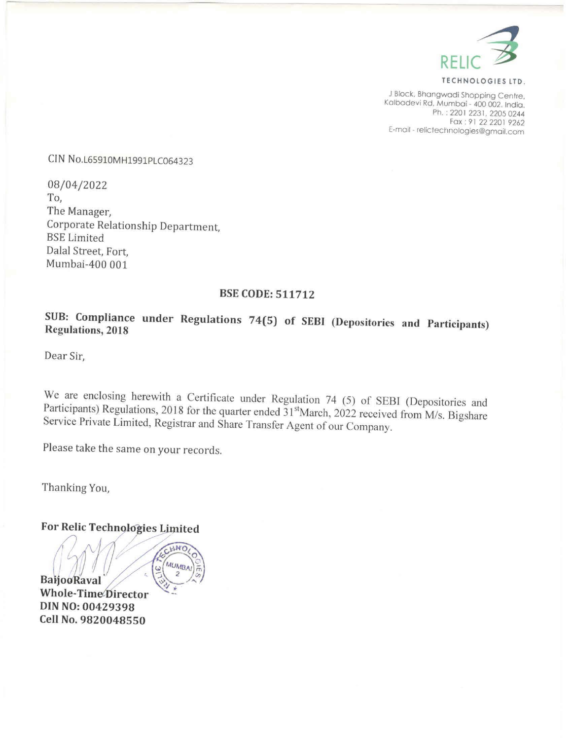

TECHNOLOGIES LTD.

<sup>J</sup>Block, Bhangwadi Shopping Centre, Kalbadevi Rd, Mumbai - 400 002. India. Ph. : 2201 2231, 2205 0244 E-mail - relictechnologies@gmail.com

CIN No.L65910MH1991PLC064323

08/04/2022 To, The Manager, Corporate Relationship Department, BSE Limited Dalal Street, Fort, Mumbai-400 001

## BSE CODE: 511712

## SUB: Compliance under Regulations 74(5) of SEBI (Depositories and Participants) Regulations, <sup>2018</sup>

Dear Sir,

We are enclosing herewith a Certificate under Regulation 74 (5) of SEBI (Depositories and Participants) Regulations, 2018 for the quarter ended 31<sup>st</sup>March, 2022 received from M/s. Bigshare Service Private Limited, Registr

Please take the same on your records.

Thanking You,

For Relic Technologies Limited ( $\frac{L_{V^{(k)NQ}}}{{N_{U_{M}}}}$ <br>BallooRaval **Whole-Time** Director DIN NO: 00429398 Cell No. 9820048550 **CONTROL**